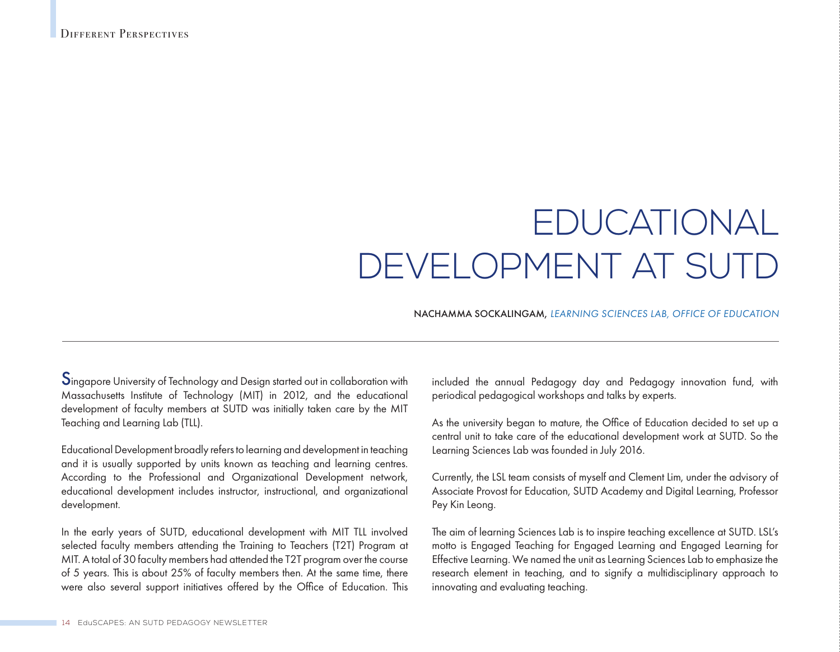# EDUCATIONAL DEVELOPMENT AT SUTD

## NACHAMMA SOCKALINGAM, *LEARNING SCIENCES LAB, OFFICE OF EDUCATION*

Singapore University of Technology and Design started out in collaboration with Massachusetts Institute of Technology (MIT) in 2012, and the educational development of faculty members at SUTD was initially taken care by the MIT Teaching and Learning Lab (TLL).

Educational Development broadly refers to learning and development in teaching and it is usually supported by units known as teaching and learning centres. According to the Professional and Organizational Development network, educational development includes instructor, instructional, and organizational development.

In the early years of SUTD, educational development with MIT TLL involved selected faculty members attending the Training to Teachers (T2T) Program at MIT. A total of 30 faculty members had attended the T2T program over the course of 5 years. This is about 25% of faculty members then. At the same time, there were also several support initiatives offered by the Office of Education. This included the annual Pedagogy day and Pedagogy innovation fund, with periodical pedagogical workshops and talks by experts.

As the university began to mature, the Office of Education decided to set up a central unit to take care of the educational development work at SUTD. So the Learning Sciences Lab was founded in July 2016.

Currently, the LSL team consists of myself and Clement Lim, under the advisory of Associate Provost for Education, SUTD Academy and Digital Learning, Professor Pey Kin Leong.

The aim of learning Sciences Lab is to inspire teaching excellence at SUTD. LSL's motto is Engaged Teaching for Engaged Learning and Engaged Learning for Effective Learning. We named the unit as Learning Sciences Lab to emphasize the research element in teaching, and to signify a multidisciplinary approach to innovating and evaluating teaching.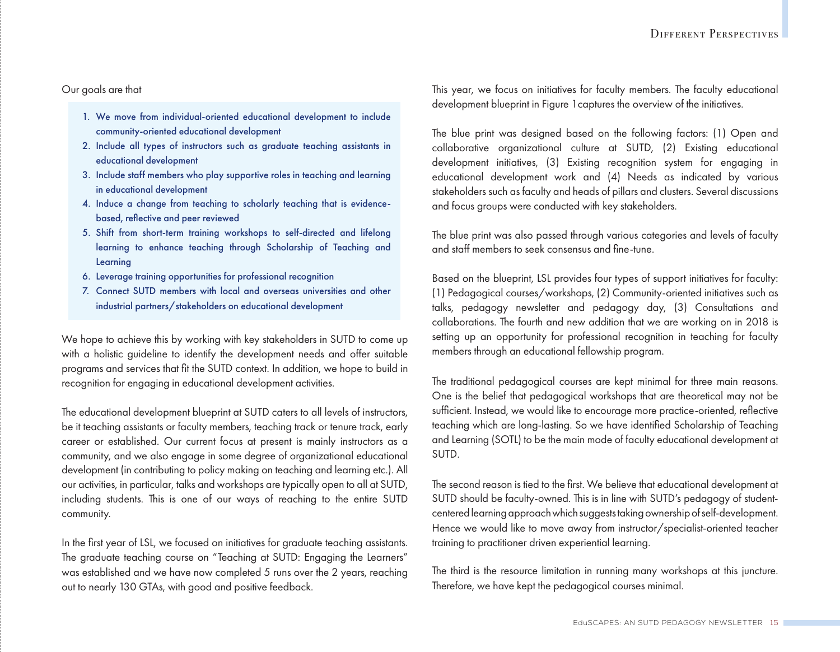Our goals are that

- 1. We move from individual-oriented educational development to include community-oriented educational development
- 2. Include all types of instructors such as graduate teaching assistants in educational development
- 3. Include staff members who play supportive roles in teaching and learning in educational development
- 4. Induce a change from teaching to scholarly teaching that is evidencebased, reflective and peer reviewed
- 5. Shift from short-term training workshops to self-directed and lifelong learning to enhance teaching through Scholarship of Teaching and Learning
- 6. Leverage training opportunities for professional recognition
- 7. Connect SUTD members with local and overseas universities and other industrial partners/stakeholders on educational development

We hope to achieve this by working with key stakeholders in SUTD to come up with a holistic guideline to identify the development needs and offer suitable programs and services that fit the SUTD context. In addition, we hope to build in recognition for engaging in educational development activities.

The educational development blueprint at SUTD caters to all levels of instructors, be it teaching assistants or faculty members, teaching track or tenure track, early career or established. Our current focus at present is mainly instructors as a community, and we also engage in some degree of organizational educational development (in contributing to policy making on teaching and learning etc.). All our activities, in particular, talks and workshops are typically open to all at SUTD, including students. This is one of our ways of reaching to the entire SUTD community.

In the first year of LSL, we focused on initiatives for graduate teaching assistants. The graduate teaching course on "Teaching at SUTD: Engaging the Learners" was established and we have now completed 5 runs over the 2 years, reaching out to nearly 130 GTAs, with good and positive feedback.

This year, we focus on initiatives for faculty members. The faculty educational development blueprint in Figure 1captures the overview of the initiatives.

The blue print was designed based on the following factors: (1) Open and collaborative organizational culture at SUTD, (2) Existing educational development initiatives, (3) Existing recognition system for engaging in educational development work and (4) Needs as indicated by various stakeholders such as faculty and heads of pillars and clusters. Several discussions and focus groups were conducted with key stakeholders.

The blue print was also passed through various categories and levels of faculty and staff members to seek consensus and fine-tune.

Based on the blueprint, LSL provides four types of support initiatives for faculty: (1) Pedagogical courses/workshops, (2) Community-oriented initiatives such as talks, pedagogy newsletter and pedagogy day, (3) Consultations and collaborations. The fourth and new addition that we are working on in 2018 is setting up an opportunity for professional recognition in teaching for faculty members through an educational fellowship program.

The traditional pedagogical courses are kept minimal for three main reasons. One is the belief that pedagogical workshops that are theoretical may not be sufficient. Instead, we would like to encourage more practice-oriented, reflective teaching which are long-lasting. So we have identified Scholarship of Teaching and Learning (SOTL) to be the main mode of faculty educational development at SUTD.

The second reason is tied to the first. We believe that educational development at SUTD should be faculty-owned. This is in line with SUTD's pedagogy of studentcentered learning approach which suggests taking ownership of self-development. Hence we would like to move away from instructor/specialist-oriented teacher training to practitioner driven experiential learning.

The third is the resource limitation in running many workshops at this juncture. Therefore, we have kept the pedagogical courses minimal.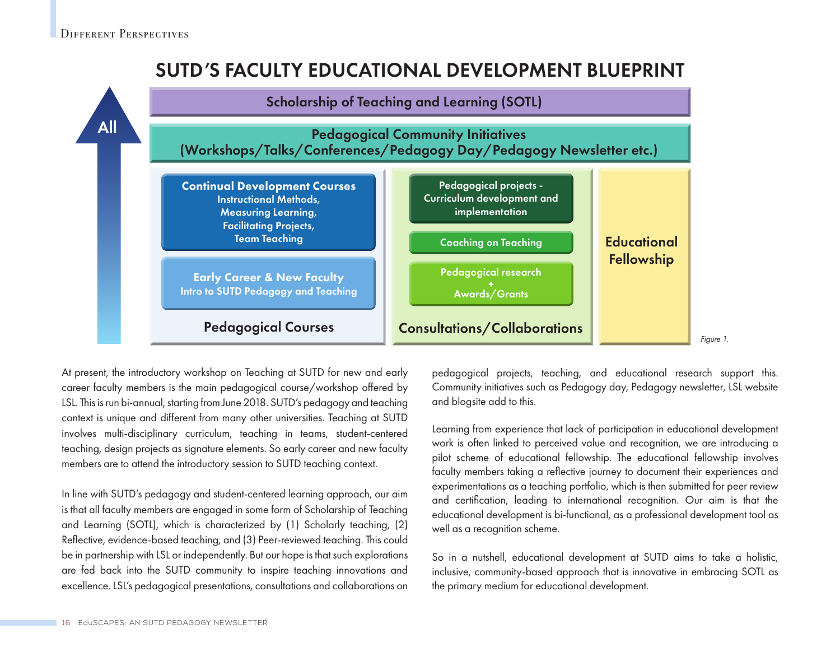# SUTD'S FACULTY EDUCATIONAL DEVELOPMENT BLUEPRINT



At present, the introductory workshop on Teaching at SUTD for new and early career faculty members is the main pedagogical course/workshop offered by LSL. This is run bi-annual, starting from June 2018. SUTD's pedagogy and teaching context is unique and different from many other universities. Teaching at SUTD involves multi-disciplinary curriculum, teaching in teams, student-centered teaching, design projects as signature elements. So early career and new faculty members are to attend the introductory session to SUTD teaching context.

In line with SUTD's pedagogy and student-centered learning approach, our aim is that all faculty members are engaged in some form of Scholarship of Teaching and Learning (SOTL), which is characterized by (1) Scholarly teaching, (2) Reflective, evidence-based teaching, and (3) Peer-reviewed teaching. This could be in partnership with LSL or independently. But our hope is that such explorations are fed back into the SUTD community to inspire teaching innovations and excellence. LSL's pedagogical presentations, consultations and collaborations on pedagogical projects, teaching, and educational research support this. Community initiatives such as Pedagogy day, Pedagogy newsletter, LSL website and blogsite add to this.

Learning from experience that lack of participation in educational development work is often linked to perceived value and recognition, we are introducing a pilot scheme of educational fellowship. The educational fellowship involves faculty members taking a reflective journey to document their experiences and experimentations as a teaching portfolio, which is then submitted for peer review and certification, leading to international recognition. Our aim is that the educational development is bi-functional, as a professional development tool as well as a recognition scheme.

So in a nutshell, educational development at SUTD aims to take a holistic, inclusive, community-based approach that is innovative in embracing SOTL as the primary medium for educational development.